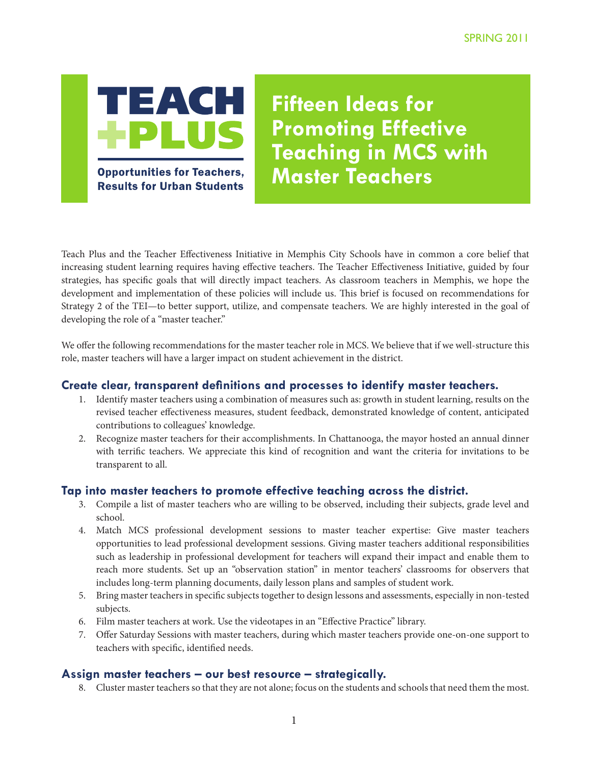

**Results for Urban Students** 

**Fifteen Ideas for Promoting Effective Teaching in MCS with Master Teachers** 

Teach Plus and the Teacher Effectiveness Initiative in Memphis City Schools have in common a core belief that increasing student learning requires having effective teachers. The Teacher Effectiveness Initiative, guided by four strategies, has specific goals that will directly impact teachers. As classroom teachers in Memphis, we hope the development and implementation of these policies will include us. This brief is focused on recommendations for Strategy 2 of the TEI—to better support, utilize, and compensate teachers. We are highly interested in the goal of developing the role of a "master teacher."

We offer the following recommendations for the master teacher role in MCS. We believe that if we well-structure this role, master teachers will have a larger impact on student achievement in the district.

## **Create clear, transparent definitions and processes to identify master teachers.**

- 1. Identify master teachers using a combination of measures such as: growth in student learning, results on the revised teacher effectiveness measures, student feedback, demonstrated knowledge of content, anticipated contributions to colleagues' knowledge.
- 2. Recognize master teachers for their accomplishments. In Chattanooga, the mayor hosted an annual dinner with terrific teachers. We appreciate this kind of recognition and want the criteria for invitations to be transparent to all.

### **Tap into master teachers to promote effective teaching across the district.**

- 3. Compile a list of master teachers who are willing to be observed, including their subjects, grade level and school.
- 4. Match MCS professional development sessions to master teacher expertise: Give master teachers opportunities to lead professional development sessions. Giving master teachers additional responsibilities such as leadership in professional development for teachers will expand their impact and enable them to reach more students. Set up an "observation station" in mentor teachers' classrooms for observers that includes long-term planning documents, daily lesson plans and samples of student work.
- 5. Bring master teachers in specific subjects together to design lessons and assessments, especially in non-tested subjects.
- 6. Film master teachers at work. Use the videotapes in an "Effective Practice" library.
- 7. Offer Saturday Sessions with master teachers, during which master teachers provide one-on-one support to teachers with specific, identified needs.

# **Assign master teachers – our best resource – strategically.**

8. Cluster master teachers so that they are not alone; focus on the students and schools that need them the most.